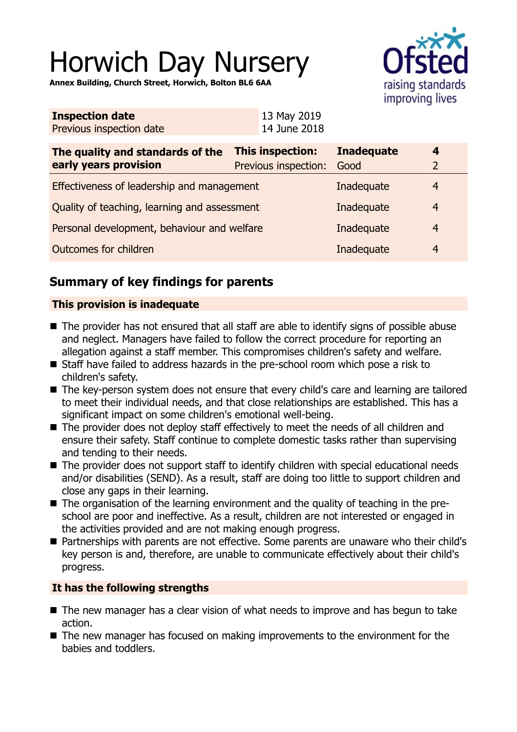# Horwich Day Nursery

**Annex Building, Church Street, Horwich, Bolton BL6 6AA**



| <b>Inspection date</b>   | 13 May 2019  |
|--------------------------|--------------|
| Previous inspection date | 14 June 2018 |

| The quality and standards of the<br>early years provision | This inspection:<br>Previous inspection: | <b>Inadequate</b><br>Good | 4              |
|-----------------------------------------------------------|------------------------------------------|---------------------------|----------------|
| Effectiveness of leadership and management                |                                          | Inadequate                | 4              |
| Quality of teaching, learning and assessment              |                                          | Inadequate                | $\overline{4}$ |
| Personal development, behaviour and welfare               |                                          | Inadequate                | 4              |
| Outcomes for children                                     |                                          | Inadequate                | 4              |

# **Summary of key findings for parents**

## **This provision is inadequate**

- $\blacksquare$  The provider has not ensured that all staff are able to identify signs of possible abuse and neglect. Managers have failed to follow the correct procedure for reporting an allegation against a staff member. This compromises children's safety and welfare.
- Staff have failed to address hazards in the pre-school room which pose a risk to children's safety.
- The key-person system does not ensure that every child's care and learning are tailored to meet their individual needs, and that close relationships are established. This has a significant impact on some children's emotional well-being.
- $\blacksquare$  The provider does not deploy staff effectively to meet the needs of all children and ensure their safety. Staff continue to complete domestic tasks rather than supervising and tending to their needs.
- $\blacksquare$  The provider does not support staff to identify children with special educational needs and/or disabilities (SEND). As a result, staff are doing too little to support children and close any gaps in their learning.
- The organisation of the learning environment and the quality of teaching in the preschool are poor and ineffective. As a result, children are not interested or engaged in the activities provided and are not making enough progress.
- Partnerships with parents are not effective. Some parents are unaware who their child's key person is and, therefore, are unable to communicate effectively about their child's progress.

## **It has the following strengths**

- $\blacksquare$  The new manager has a clear vision of what needs to improve and has begun to take action.
- $\blacksquare$  The new manager has focused on making improvements to the environment for the babies and toddlers.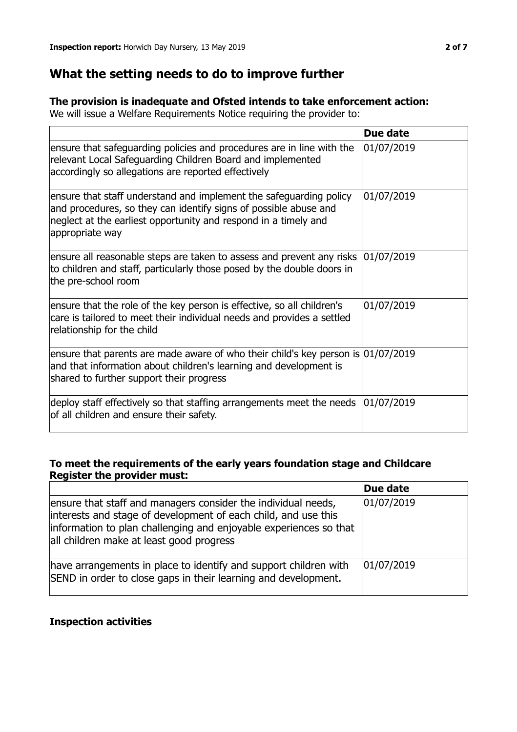## **What the setting needs to do to improve further**

## **The provision is inadequate and Ofsted intends to take enforcement action:**

We will issue a Welfare Requirements Notice requiring the provider to:

|                                                                                                                                                                                                                              | Due date   |
|------------------------------------------------------------------------------------------------------------------------------------------------------------------------------------------------------------------------------|------------|
| ensure that safeguarding policies and procedures are in line with the<br>relevant Local Safeguarding Children Board and implemented<br>accordingly so allegations are reported effectively                                   | 01/07/2019 |
| ensure that staff understand and implement the safeguarding policy<br>and procedures, so they can identify signs of possible abuse and<br>neglect at the earliest opportunity and respond in a timely and<br>appropriate way | 01/07/2019 |
| ensure all reasonable steps are taken to assess and prevent any risks<br>to children and staff, particularly those posed by the double doors in<br>the pre-school room                                                       | 01/07/2019 |
| ensure that the role of the key person is effective, so all children's<br>care is tailored to meet their individual needs and provides a settled<br>relationship for the child                                               | 01/07/2019 |
| ensure that parents are made aware of who their child's key person is $ 01/07/2019$<br>and that information about children's learning and development is<br>shared to further support their progress                         |            |
| deploy staff effectively so that staffing arrangements meet the needs<br>of all children and ensure their safety.                                                                                                            | 01/07/2019 |

## **To meet the requirements of the early years foundation stage and Childcare Register the provider must:**

|                                                                                                                                                                                                                                                  | Due date   |
|--------------------------------------------------------------------------------------------------------------------------------------------------------------------------------------------------------------------------------------------------|------------|
| ensure that staff and managers consider the individual needs,<br>interests and stage of development of each child, and use this<br>information to plan challenging and enjoyable experiences so that<br>all children make at least good progress | 01/07/2019 |
| have arrangements in place to identify and support children with<br>SEND in order to close gaps in their learning and development.                                                                                                               | 01/07/2019 |

## **Inspection activities**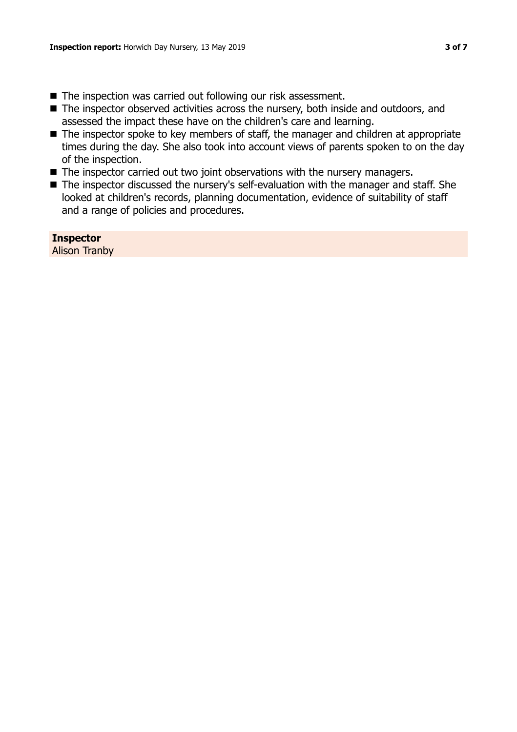- The inspection was carried out following our risk assessment.
- $\blacksquare$  The inspector observed activities across the nursery, both inside and outdoors, and assessed the impact these have on the children's care and learning.
- The inspector spoke to key members of staff, the manager and children at appropriate times during the day. She also took into account views of parents spoken to on the day of the inspection.
- $\blacksquare$  The inspector carried out two joint observations with the nursery managers.
- The inspector discussed the nursery's self-evaluation with the manager and staff. She looked at children's records, planning documentation, evidence of suitability of staff and a range of policies and procedures.

**Inspector** Alison Tranby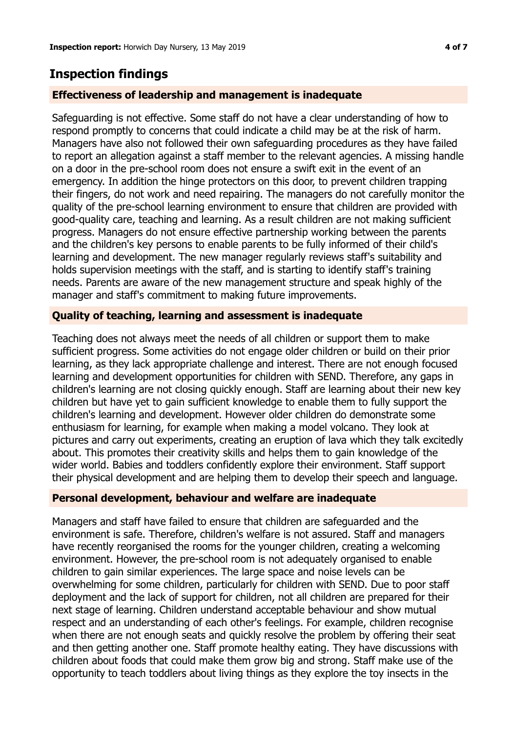## **Inspection findings**

## **Effectiveness of leadership and management is inadequate**

Safeguarding is not effective. Some staff do not have a clear understanding of how to respond promptly to concerns that could indicate a child may be at the risk of harm. Managers have also not followed their own safeguarding procedures as they have failed to report an allegation against a staff member to the relevant agencies. A missing handle on a door in the pre-school room does not ensure a swift exit in the event of an emergency. In addition the hinge protectors on this door, to prevent children trapping their fingers, do not work and need repairing. The managers do not carefully monitor the quality of the pre-school learning environment to ensure that children are provided with good-quality care, teaching and learning. As a result children are not making sufficient progress. Managers do not ensure effective partnership working between the parents and the children's key persons to enable parents to be fully informed of their child's learning and development. The new manager regularly reviews staff's suitability and holds supervision meetings with the staff, and is starting to identify staff's training needs. Parents are aware of the new management structure and speak highly of the manager and staff's commitment to making future improvements.

## **Quality of teaching, learning and assessment is inadequate**

Teaching does not always meet the needs of all children or support them to make sufficient progress. Some activities do not engage older children or build on their prior learning, as they lack appropriate challenge and interest. There are not enough focused learning and development opportunities for children with SEND. Therefore, any gaps in children's learning are not closing quickly enough. Staff are learning about their new key children but have yet to gain sufficient knowledge to enable them to fully support the children's learning and development. However older children do demonstrate some enthusiasm for learning, for example when making a model volcano. They look at pictures and carry out experiments, creating an eruption of lava which they talk excitedly about. This promotes their creativity skills and helps them to gain knowledge of the wider world. Babies and toddlers confidently explore their environment. Staff support their physical development and are helping them to develop their speech and language.

#### **Personal development, behaviour and welfare are inadequate**

Managers and staff have failed to ensure that children are safeguarded and the environment is safe. Therefore, children's welfare is not assured. Staff and managers have recently reorganised the rooms for the younger children, creating a welcoming environment. However, the pre-school room is not adequately organised to enable children to gain similar experiences. The large space and noise levels can be overwhelming for some children, particularly for children with SEND. Due to poor staff deployment and the lack of support for children, not all children are prepared for their next stage of learning. Children understand acceptable behaviour and show mutual respect and an understanding of each other's feelings. For example, children recognise when there are not enough seats and quickly resolve the problem by offering their seat and then getting another one. Staff promote healthy eating. They have discussions with children about foods that could make them grow big and strong. Staff make use of the opportunity to teach toddlers about living things as they explore the toy insects in the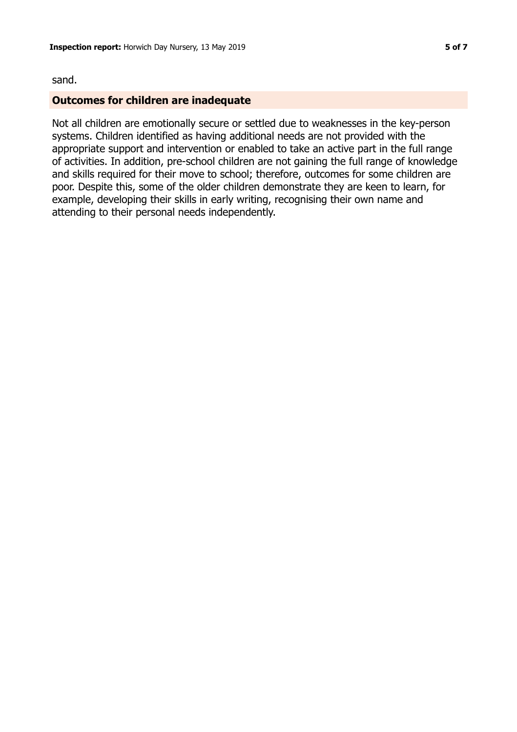#### sand.

#### **Outcomes for children are inadequate**

Not all children are emotionally secure or settled due to weaknesses in the key-person systems. Children identified as having additional needs are not provided with the appropriate support and intervention or enabled to take an active part in the full range of activities. In addition, pre-school children are not gaining the full range of knowledge and skills required for their move to school; therefore, outcomes for some children are poor. Despite this, some of the older children demonstrate they are keen to learn, for example, developing their skills in early writing, recognising their own name and attending to their personal needs independently.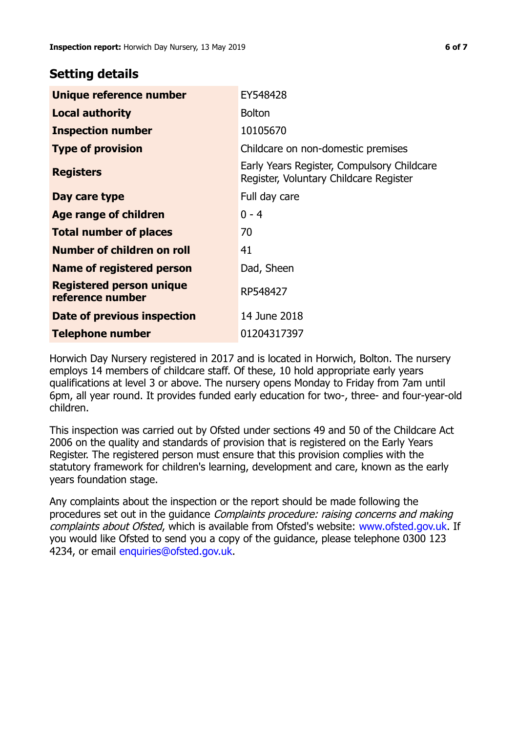## **Setting details**

| Unique reference number                             | EY548428                                                                             |
|-----------------------------------------------------|--------------------------------------------------------------------------------------|
| <b>Local authority</b>                              | <b>Bolton</b>                                                                        |
| <b>Inspection number</b>                            | 10105670                                                                             |
| <b>Type of provision</b>                            | Childcare on non-domestic premises                                                   |
| <b>Registers</b>                                    | Early Years Register, Compulsory Childcare<br>Register, Voluntary Childcare Register |
| Day care type                                       | Full day care                                                                        |
| Age range of children                               | $0 - 4$                                                                              |
| <b>Total number of places</b>                       | 70                                                                                   |
| Number of children on roll                          | 41                                                                                   |
| Name of registered person                           | Dad, Sheen                                                                           |
| <b>Registered person unique</b><br>reference number | RP548427                                                                             |
| Date of previous inspection                         | 14 June 2018                                                                         |
| <b>Telephone number</b>                             | 01204317397                                                                          |

Horwich Day Nursery registered in 2017 and is located in Horwich, Bolton. The nursery employs 14 members of childcare staff. Of these, 10 hold appropriate early years qualifications at level 3 or above. The nursery opens Monday to Friday from 7am until 6pm, all year round. It provides funded early education for two-, three- and four-year-old children.

This inspection was carried out by Ofsted under sections 49 and 50 of the Childcare Act 2006 on the quality and standards of provision that is registered on the Early Years Register. The registered person must ensure that this provision complies with the statutory framework for children's learning, development and care, known as the early years foundation stage.

Any complaints about the inspection or the report should be made following the procedures set out in the guidance Complaints procedure: raising concerns and making complaints about Ofsted, which is available from Ofsted's website: www.ofsted.gov.uk. If you would like Ofsted to send you a copy of the guidance, please telephone 0300 123 4234, or email [enquiries@ofsted.gov.uk.](mailto:enquiries@ofsted.gov.uk)